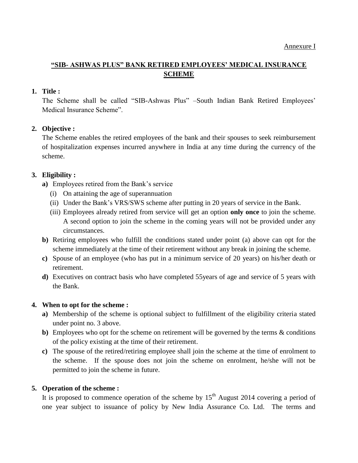# **"SIB- ASHWAS PLUS" BANK RETIRED EMPLOYEES' MEDICAL INSURANCE SCHEME**

## **1. Title :**

The Scheme shall be called "SIB-Ashwas Plus" –South Indian Bank Retired Employees' Medical Insurance Scheme".

# **2. Objective :**

The Scheme enables the retired employees of the bank and their spouses to seek reimbursement of hospitalization expenses incurred anywhere in India at any time during the currency of the scheme.

# **3. Eligibility :**

- **a)** Employees retired from the Bank's service
	- (i) On attaining the age of superannuation
	- (ii) Under the Bank's VRS/SWS scheme after putting in 20 years of service in the Bank.
	- (iii) Employees already retired from service will get an option **only once** to join the scheme. A second option to join the scheme in the coming years will not be provided under any circumstances.
- **b)** Retiring employees who fulfill the conditions stated under point (a) above can opt for the scheme immediately at the time of their retirement without any break in joining the scheme.
- **c)** Spouse of an employee (who has put in a minimum service of 20 years) on his/her death or retirement.
- **d)** Executives on contract basis who have completed 55years of age and service of 5 years with the Bank.

## **4. When to opt for the scheme :**

- **a)** Membership of the scheme is optional subject to fulfillment of the eligibility criteria stated under point no. 3 above.
- **b)** Employees who opt for the scheme on retirement will be governed by the terms & conditions of the policy existing at the time of their retirement.
- **c)** The spouse of the retired/retiring employee shall join the scheme at the time of enrolment to the scheme. If the spouse does not join the scheme on enrolment, he/she will not be permitted to join the scheme in future.

## **5. Operation of the scheme :**

It is proposed to commence operation of the scheme by  $15<sup>th</sup>$  August 2014 covering a period of one year subject to issuance of policy by New India Assurance Co. Ltd. The terms and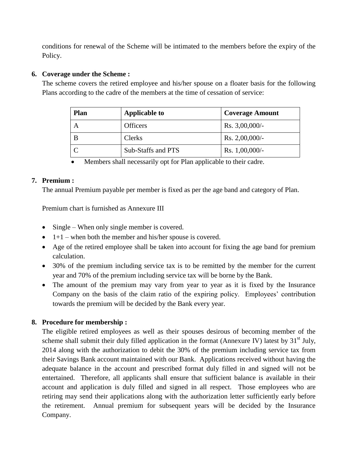conditions for renewal of the Scheme will be intimated to the members before the expiry of the Policy.

## **6. Coverage under the Scheme :**

The scheme covers the retired employee and his/her spouse on a floater basis for the following Plans according to the cadre of the members at the time of cessation of service:

| Plan | <b>Applicable to</b> | <b>Coverage Amount</b> |
|------|----------------------|------------------------|
| A    | <b>Officers</b>      | Rs. $3,00,000/-$       |
|      | Clerks               | Rs. $2,00,000/-$       |
|      | Sub-Staffs and PTS   | Rs. $1,00,000/-$       |

Members shall necessarily opt for Plan applicable to their cadre.

## **7. Premium :**

The annual Premium payable per member is fixed as per the age band and category of Plan.

Premium chart is furnished as Annexure III

- Single When only single member is covered.
- $\bullet$  1+1 when both the member and his/her spouse is covered.
- Age of the retired employee shall be taken into account for fixing the age band for premium calculation.
- 30% of the premium including service tax is to be remitted by the member for the current year and 70% of the premium including service tax will be borne by the Bank.
- The amount of the premium may vary from year to year as it is fixed by the Insurance Company on the basis of the claim ratio of the expiring policy. Employees' contribution towards the premium will be decided by the Bank every year.

# **8. Procedure for membership :**

The eligible retired employees as well as their spouses desirous of becoming member of the scheme shall submit their duly filled application in the format (Annexure IV) latest by  $31<sup>st</sup>$  July, 2014 along with the authorization to debit the 30% of the premium including service tax from their Savings Bank account maintained with our Bank. Applications received without having the adequate balance in the account and prescribed format duly filled in and signed will not be entertained. Therefore, all applicants shall ensure that sufficient balance is available in their account and application is duly filled and signed in all respect. Those employees who are retiring may send their applications along with the authorization letter sufficiently early before the retirement. Annual premium for subsequent years will be decided by the Insurance Company.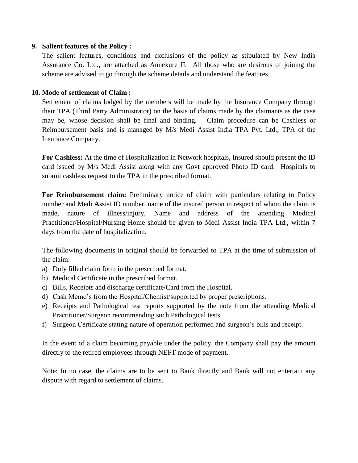#### **9. Salient features of the Policy :**

The salient features, conditions and exclusions of the policy as stipulated by New India Assurance Co. Ltd., are attached as Annexure II. All those who are desirous of joining the scheme are advised to go through the scheme details and understand the features.

### **10. Mode of settlement of Claim :**

Settlement of claims lodged by the members will be made by the Insurance Company through their TPA (Third Party Administrator) on the basis of claims made by the claimants as the case may be, whose decision shall be final and binding. Claim procedure can be Cashless or Reimbursement basis and is managed by M/s Medi Assist India TPA Pvt. Ltd., TPA of the Insurance Company.

**For Cashless:** At the time of Hospitalization in Network hospitals, Insured should present the ID card issued by M/s Medi Assist along with any Govt approved Photo ID card. Hospitals to submit cashless request to the TPA in the prescribed format.

**For Reimbursement claim:** Preliminary notice of claim with particulars relating to Policy number and Medi **A**ssist ID number, name of the insured person in respect of whom the claim is made, nature of illness/injury, Name and address of the attending Medical Practitioner/Hospital/Nursing Home should be given to Medi Assist India TPA Ltd., within 7 days from the date of hospitalization.

The following documents in original should be forwarded to TPA at the time of submission of the claim:

- a) Duly filled claim form in the prescribed format.
- b) Medical Certificate in the prescribed format.
- c) Bills, Receipts and discharge certificate/Card from the Hospital.
- d) Cash Memo's from the Hospital/Chemist/supported by proper prescriptions.
- e) Receipts and Pathological test reports supported by the note from the attending Medical Practitioner/Surgeon recommending such Pathological tests.
- f) Surgeon Certificate stating nature of operation performed and surgeon's bills and receipt.

In the event of a claim becoming payable under the policy, the Company shall pay the amount directly to the retired employees through NEFT mode of payment.

Note: In no case, the claims are to be sent to Bank directly and Bank will not entertain any dispute with regard to settlement of claims.